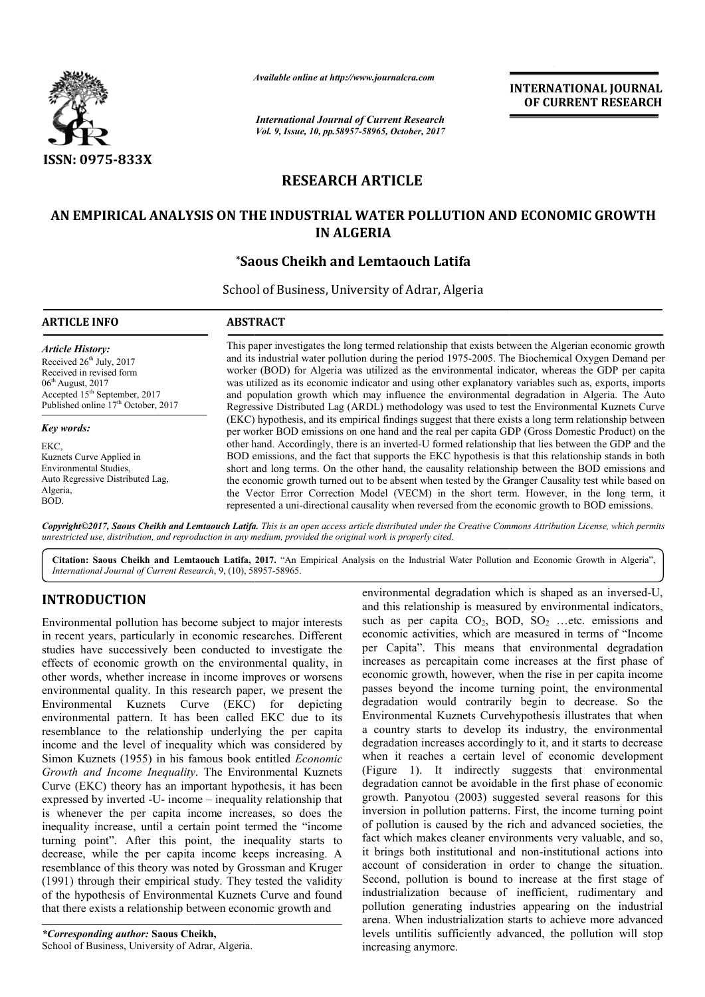

*Available online at http://www.journal http://www.journalcra.com*

*International Journal of Current Research Vol. 9, Issue, 10, pp.58957-58965, October, 2017* **INTERNATIONAL JOURNAL OF CURRENT RESEARCH** 

# **RESEARCH ARTICLE**

## AN EMPIRICAL ANALYSIS ON THE INDUSTRIAL WATER POLLUTION AND ECONOMIC GROWTH **IN ALGERIA**

## **\*Saous Cheikh and Lemtaouch Latifa Saous**

School of Business, University of Adrar, Algeria

| <b>ARTICLE INFO</b>                                                                                                                                                                                      | <b>ABSTRACT</b>                                                                                                                                                                                                                                                                                                                                                                                                                                                                                                                                                                                                                                                                                                                                                                                                                             |
|----------------------------------------------------------------------------------------------------------------------------------------------------------------------------------------------------------|---------------------------------------------------------------------------------------------------------------------------------------------------------------------------------------------------------------------------------------------------------------------------------------------------------------------------------------------------------------------------------------------------------------------------------------------------------------------------------------------------------------------------------------------------------------------------------------------------------------------------------------------------------------------------------------------------------------------------------------------------------------------------------------------------------------------------------------------|
| <b>Article History:</b><br>Received $26th$ July, 2017<br>Received in revised form<br>$06th$ August, 2017<br>Accepted 15 <sup>th</sup> September, 2017<br>Published online 17 <sup>th</sup> October, 2017 | This paper investigates the long termed relationship that exists between the Algerian economic growth<br>and its industrial water pollution during the period 1975-2005. The Biochemical Oxygen Demand per<br>worker (BOD) for Algeria was utilized as the environmental indicator, whereas the GDP per capita<br>was utilized as its economic indicator and using other explanatory variables such as, exports, imports<br>and population growth which may influence the environmental degradation in Algeria. The Auto<br>Regressive Distributed Lag (ARDL) methodology was used to test the Environmental Kuznets Curve                                                                                                                                                                                                                  |
| <b>Key words:</b><br>EKC.<br>Kuznets Curve Applied in<br>Environmental Studies,<br>Auto Regressive Distributed Lag,<br>Algeria,<br>BOD.                                                                  | (EKC) hypothesis, and its empirical findings suggest that there exists a long term relationship between<br>per worker BOD emissions on one hand and the real per capita GDP (Gross Domestic Product) on the<br>other hand. Accordingly, there is an inverted-U formed relationship that lies between the GDP and the<br>BOD emissions, and the fact that supports the EKC hypothesis is that this relationship stands in both<br>short and long terms. On the other hand, the causality relationship between the BOD emissions and<br>the economic growth turned out to be absent when tested by the Granger Causality test while based on<br>the Vector Error Correction Model (VECM) in the short term. However, in the long term, it<br>represented a uni-directional causality when reversed from the economic growth to BOD emissions. |

*Copyright©2017, Saous Cheikh and Lemtaouch Latifa Latifa. This is an open access article distributed under the Creative Commons Att Attribution License, which permits unrestricted use, distribution, and reproduction in any medium, provided the original work is properly cited.*

Citation: Saous Cheikh and Lemtaouch Latifa, 2017. "An Empirical Analysis on the Industrial Water Pollution and Economic Growth in Algeria", *International Journal of Current Research*, 9, (10), 58957 58957-58965.

# **INTRODUCTION**

Environmental pollution has become subject to major interests in recent years, particularly in economic researches. Different studies have successively been conducted to investigate the effects of economic growth on the environmental quality, in other words, whether increase in income improves or worsens other words, whether increase in income improves or worsens environmental quality. In this research paper, we present the Environmental Kuznets Curve (EKC) for depicting environmental pattern. It has been called EKC due to its resemblance to the relationship underlying the per capita income and the level of inequality which was considered by resemblance to the relationship underlying the per capita<br>income and the level of inequality which was considered by<br>Simon Kuznets (1955) in his famous book entitled *Economic Growth and Income Inequality*. The Environmental Kuznets Curve (EKC) theory has an important hypothesis, it has been expressed by inverted -U- income – inequality relationship that is whenever the per capita income increases, so does the inequality increase, until a certain point termed the "income turning point". After this point, the inequality starts to decrease, while the per capita income keeps increasing. A resemblance of this theory was noted by Grossman and Kruger (1991) through their empirical study. They tested the validity of the hypothesis of Environmental Kuznets Curve and found that there exists a relationship between economic growth and

*\*Corresponding author:* **Saous Cheikh,** School of Business, University of Adrar, Algeria.

**TION**<br>
environmental degradation which is shaped as an inversed<br>
pollution has become subject to major interests<br>
such as per capita  $CO_2$ , BOD, SO<sub>2</sub> ...etc. emissions<br>
positives, particularly in conomic researches. Dif and this relationship is measured by environmental indicators, such as per capita  $CO_2$ , BOD,  $SO_2$  ...etc. emissions and economic activities, which are measured in terms of "Income per Capita". This means that environmental degradation increases as percapitain come increases at the first phase of economic growth, however, when the rise in per capita income passes beyond the income turning point, the environmental degradation would contrarily begin to decrease. So the Environmental Kuznets Curvehypothesis illustrates that when a country starts to develop its industry, the environmental degradation increases accordingly to it, and it starts to decrease when it reaches a certain level of economic development (Figure 1). It indirectly suggests that environmental degradation cannot be avoidable in the first phase of economic growth. Panyotou (2003) suggested several reasons for this inversion in pollution patterns. First, the income turning point of pollution is caused by the rich and advanced societies, the fact which makes cleaner environments very valuable, and so, it brings both institutional and non-institutional actions into account of consideration in order to change the situation. Second, pollution is bound to increase at the first stage of industrialization because of inefficient, rudimentary and pollution generating industries appearing on the industrial arena. When industrialization starts to achieve more advanced levels untilitis sufficiently advanced, the pollution will stop increasing anymore. environmental degradation which is shaped as an inversed-U, 1). It indirectly suggests that environmental<br>on cannot be avoidable in the first phase of economic<br>'anyotou (2003) suggested several reasons for this<br>in pollution patterns. First, the income turning point account of consideration in order to change the situation.<br>Second, pollution is bound to increase at the first stage of<br>industrialization because of inefficient, rudimentary and<br>pollution generating industries appearing on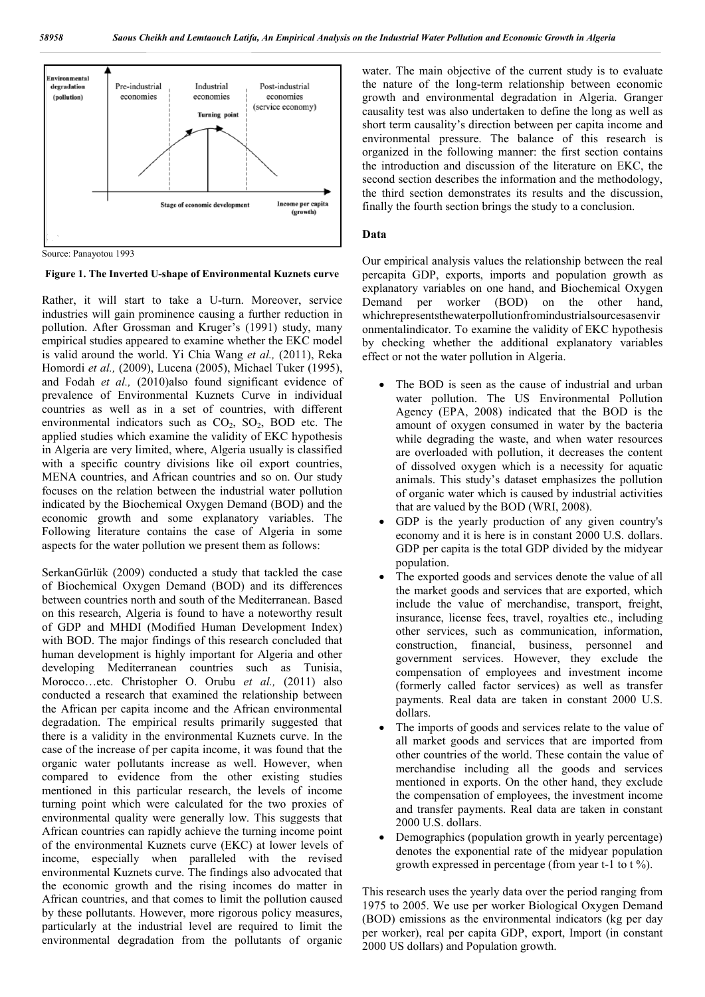

Source: Panayotou 1993

**Figure 1. The Inverted U-shape of Environmental Kuznets curve**

Rather, it will start to take a U-turn. Moreover, service industries will gain prominence causing a further reduction in pollution. After Grossman and Kruger's (1991) study, many empirical studies appeared to examine whether the EKC model is valid around the world. Yi Chia Wang *et al.,* (2011), Reka Homordi *et al.,* (2009), Lucena (2005), Michael Tuker (1995), and Fodah *et al.,* (2010)also found significant evidence of prevalence of Environmental Kuznets Curve in individual countries as well as in a set of countries, with different environmental indicators such as  $CO<sub>2</sub>$ ,  $SO<sub>2</sub>$ , BOD etc. The applied studies which examine the validity of EKC hypothesis in Algeria are very limited, where, Algeria usually is classified with a specific country divisions like oil export countries, MENA countries, and African countries and so on. Our study focuses on the relation between the industrial water pollution indicated by the Biochemical Oxygen Demand (BOD) and the economic growth and some explanatory variables. The Following literature contains the case of Algeria in some aspects for the water pollution we present them as follows:

SerkanGürlük (2009) conducted a study that tackled the case of Biochemical Oxygen Demand (BOD) and its differences between countries north and south of the Mediterranean. Based on this research, Algeria is found to have a noteworthy result of GDP and MHDI (Modified Human Development Index) with BOD. The major findings of this research concluded that human development is highly important for Algeria and other developing Mediterranean countries such as Tunisia, Morocco…etc. Christopher O. Orubu *et al.,* (2011) also conducted a research that examined the relationship between the African per capita income and the African environmental degradation. The empirical results primarily suggested that there is a validity in the environmental Kuznets curve. In the case of the increase of per capita income, it was found that the organic water pollutants increase as well. However, when compared to evidence from the other existing studies mentioned in this particular research, the levels of income turning point which were calculated for the two proxies of environmental quality were generally low. This suggests that African countries can rapidly achieve the turning income point of the environmental Kuznets curve (EKC) at lower levels of income, especially when paralleled with the revised environmental Kuznets curve. The findings also advocated that the economic growth and the rising incomes do matter in African countries, and that comes to limit the pollution caused by these pollutants. However, more rigorous policy measures, particularly at the industrial level are required to limit the environmental degradation from the pollutants of organic

water. The main objective of the current study is to evaluate the nature of the long-term relationship between economic growth and environmental degradation in Algeria. Granger causality test was also undertaken to define the long as well as short term causality's direction between per capita income and environmental pressure. The balance of this research is organized in the following manner: the first section contains the introduction and discussion of the literature on EKC, the second section describes the information and the methodology, the third section demonstrates its results and the discussion, finally the fourth section brings the study to a conclusion.

### **Data**

Our empirical analysis values the relationship between the real percapita GDP, exports, imports and population growth as explanatory variables on one hand, and Biochemical Oxygen Demand per worker (BOD) on the other hand, whichrepresentsthewaterpollutionfromindustrialsourcesasenvir onmentalindicator. To examine the validity of EKC hypothesis by checking whether the additional explanatory variables effect or not the water pollution in Algeria.

- The BOD is seen as the cause of industrial and urban water pollution. The US Environmental Pollution Agency (EPA, 2008) indicated that the BOD is the amount of oxygen consumed in water by the bacteria while degrading the waste, and when water resources are overloaded with pollution, it decreases the content of dissolved oxygen which is a necessity for aquatic animals. This study's dataset emphasizes the pollution of organic water which is caused by industrial activities that are valued by the BOD (WRI, 2008).
- GDP is the yearly production of any given country's economy and it is here is in constant 2000 U.S. dollars. GDP per capita is the total GDP divided by the midyear population.
- The exported goods and services denote the value of all the market goods and services that are exported, which include the value of merchandise, transport, freight, insurance, license fees, travel, royalties etc., including other services, such as communication, information, construction, financial, business, personnel and government services. However, they exclude the compensation of employees and investment income (formerly called factor services) as well as transfer payments. Real data are taken in constant 2000 U.S. dollars.
- The imports of goods and services relate to the value of all market goods and services that are imported from other countries of the world. These contain the value of merchandise including all the goods and services mentioned in exports. On the other hand, they exclude the compensation of employees, the investment income and transfer payments. Real data are taken in constant 2000 U.S. dollars.
- Demographics (population growth in yearly percentage) denotes the exponential rate of the midyear population growth expressed in percentage (from year t-1 to t %).

This research uses the yearly data over the period ranging from 1975 to 2005. We use per worker Biological Oxygen Demand (BOD) emissions as the environmental indicators (kg per day per worker), real per capita GDP, export, Import (in constant 2000 US dollars) and Population growth.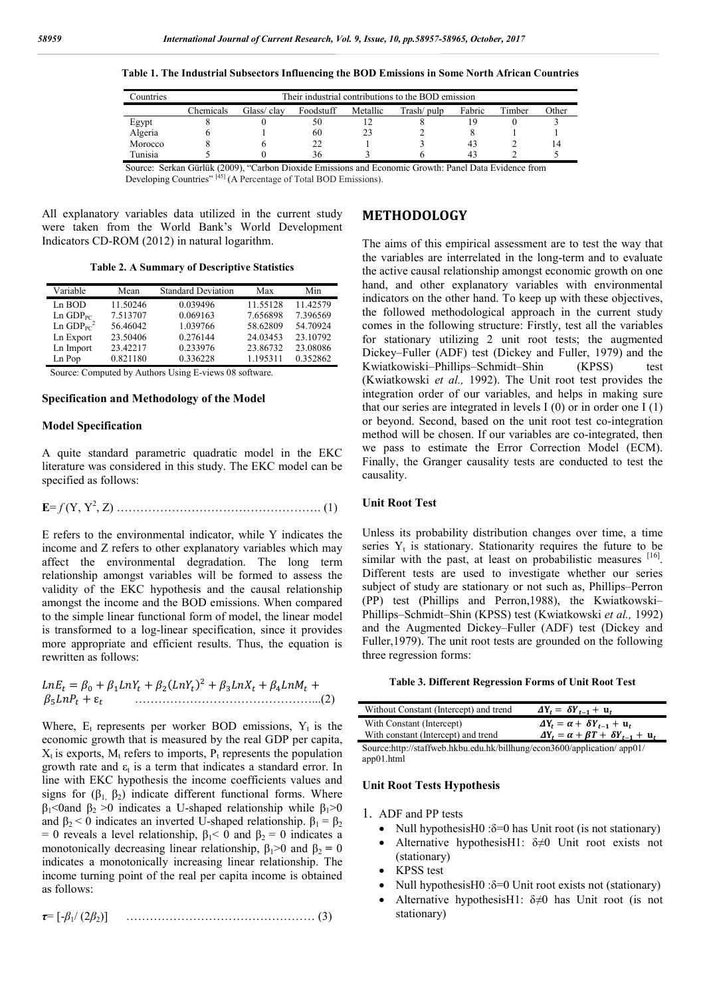**Table 1. The Industrial Subsectors Influencing the BOD Emissions in Some North African Countries**

| countries | Their industrial contributions to the BOD emission |             |           |          |             |        |        |       |
|-----------|----------------------------------------------------|-------------|-----------|----------|-------------|--------|--------|-------|
|           | Chemicals                                          | Glass/ clav | Foodstuff | Metallic | Trash/ pulp | Fabric | Timber | Other |
| Egypt     |                                                    |             | 50        |          |             |        |        |       |
| Algeria   |                                                    |             | 60        | 23       |             |        |        |       |
| Morocco   |                                                    |             | 22        |          |             | 43     |        | 14    |
| Tunisia   |                                                    |             | 36        |          |             | 43     |        |       |

Source: Serkan Gürlük (2009), "Carbon Dioxide Emissions and Economic Growth: Panel Data Evidence from Developing Countries"<sup>[45]</sup> (A Percentage of Total BOD Emissions).

All explanatory variables data utilized in the current study were taken from the World Bank's World Development Indicators CD-ROM (2012) in natural logarithm.

**Table 2. A Summary of Descriptive Statistics**

| Variable                            | Mean     | <b>Standard Deviation</b> | Max      | Min      |
|-------------------------------------|----------|---------------------------|----------|----------|
| Ln BOD                              | 11.50246 | 0.039496                  | 11.55128 | 11.42579 |
| $Ln$ $GDPPC$                        | 7.513707 | 0.069163                  | 7.656898 | 7.396569 |
| $Ln$ GDP <sub>PC</sub> <sup>2</sup> | 56.46042 | 1.039766                  | 58.62809 | 54.70924 |
| Ln Export                           | 23.50406 | 0.276144                  | 24.03453 | 23.10792 |
| Ln Import                           | 23.42217 | 0.233976                  | 23.86732 | 23.08086 |
| Ln Pop                              | 0.821180 | 0.336228                  | 1.195311 | 0.352862 |

Source: Computed by Authors Using E-views 08 software.

#### **Specification and Methodology of the Model**

#### **Model Specification**

A quite standard parametric quadratic model in the EKC literature was considered in this study. The EKC model can be specified as follows:

**E**= *f* (Y, Y<sup>2</sup> , Z) ……………………………………………. (1)

E refers to the environmental indicator, while Y indicates the income and Z refers to other explanatory variables which may affect the environmental degradation. The long term relationship amongst variables will be formed to assess the validity of the EKC hypothesis and the causal relationship amongst the income and the BOD emissions. When compared to the simple linear functional form of model, the linear model is transformed to a log-linear specification, since it provides more appropriate and efficient results. Thus, the equation is rewritten as follows:

 $LnE_t = \beta_0 + \beta_1 LnY_t + \beta_2 (LnY_t)^2 + \beta_3 LnX_t + \beta_4 LnM_t +$ + ε ………………………………………...(2)

Where,  $E_t$  represents per worker BOD emissions,  $Y_t$  is the economic growth that is measured by the real GDP per capita,  $X_t$  is exports,  $M_t$  refers to imports,  $P_t$  represents the population growth rate and  $\varepsilon_t$  is a term that indicates a standard error. In line with EKC hypothesis the income coefficients values and signs for  $(\beta_1, \beta_2)$  indicate different functional forms. Where  $β<sub>1</sub>$  <0and  $β<sub>2</sub> > 0$  indicates a U-shaped relationship while  $β<sub>1</sub> > 0$ and  $\beta_2$  < 0 indicates an inverted U-shaped relationship.  $\beta_1 = \beta_2$ = 0 reveals a level relationship,  $\beta_1$ < 0 and  $\beta_2$  = 0 indicates a monotonically decreasing linear relationship,  $\beta_1 > 0$  and  $\beta_2 = 0$ indicates a monotonically increasing linear relationship. The income turning point of the real per capita income is obtained as follows:

*τ*= [-*β*1/ (2*β*2)] ………………………………………… (3)

## **METHODOLOGY**

The aims of this empirical assessment are to test the way that the variables are interrelated in the long-term and to evaluate the active causal relationship amongst economic growth on one hand, and other explanatory variables with environmental indicators on the other hand. To keep up with these objectives, the followed methodological approach in the current study comes in the following structure: Firstly, test all the variables for stationary utilizing 2 unit root tests; the augmented Dickey–Fuller (ADF) test (Dickey and Fuller, 1979) and the Kwiatkowiski–Phillips–Schmidt–Shin (KPSS) test (Kwiatkowski *et al.,* 1992). The Unit root test provides the integration order of our variables, and helps in making sure that our series are integrated in levels  $I(0)$  or in order one  $I(1)$ or beyond. Second, based on the unit root test co-integration method will be chosen. If our variables are co-integrated, then we pass to estimate the Error Correction Model (ECM). Finally, the Granger causality tests are conducted to test the causality.

### **Unit Root Test**

Unless its probability distribution changes over time, a time series  $Y_t$  is stationary. Stationarity requires the future to be similar with the past, at least on probabilistic measures  $[16]$ . Different tests are used to investigate whether our series subject of study are stationary or not such as, Phillips–Perron (PP) test (Phillips and Perron,1988), the Kwiatkowski– Phillips–Schmidt–Shin (KPSS) test (Kwiatkowski *et al.,* 1992) and the Augmented Dickey–Fuller (ADF) test (Dickey and Fuller,1979). The unit root tests are grounded on the following three regression forms:

#### **Table 3. Different Regression Forms of Unit Root Test**

| Without Constant (Intercept) and trend                                                                | $\Delta Y_t = \delta Y_{t-1} + u_t$                    |
|-------------------------------------------------------------------------------------------------------|--------------------------------------------------------|
| With Constant (Intercept)                                                                             | $\Delta Y_t = \alpha + \delta Y_{t-1} + u_t$           |
| With constant (Intercept) and trend                                                                   | $\Delta Y_t = \alpha + \beta T + \delta Y_{t-1} + u_t$ |
| $S_{\alpha\mu\nu\alpha\alpha}$ http://staffy.gb. hlshu adu hls/hillbung/202002600/application/ app01/ |                                                        |

Source:http://staffweb.hkbu.edu.hk/billhung/econ3600/application/ app01/ app01.html

## **Unit Root Tests Hypothesis**

#### 1. ADF and PP tests

- Null hypothesisH $0$ : $\delta$ =0 has Unit root (is not stationary)
- Alternative hypothesisH1:  $\delta \neq 0$  Unit root exists not (stationary)
- KPSS test
- Null hypothesisH0 :δ=0 Unit root exists not (stationary)
- Alternative hypothesisH1:  $\delta \neq 0$  has Unit root (is not stationary)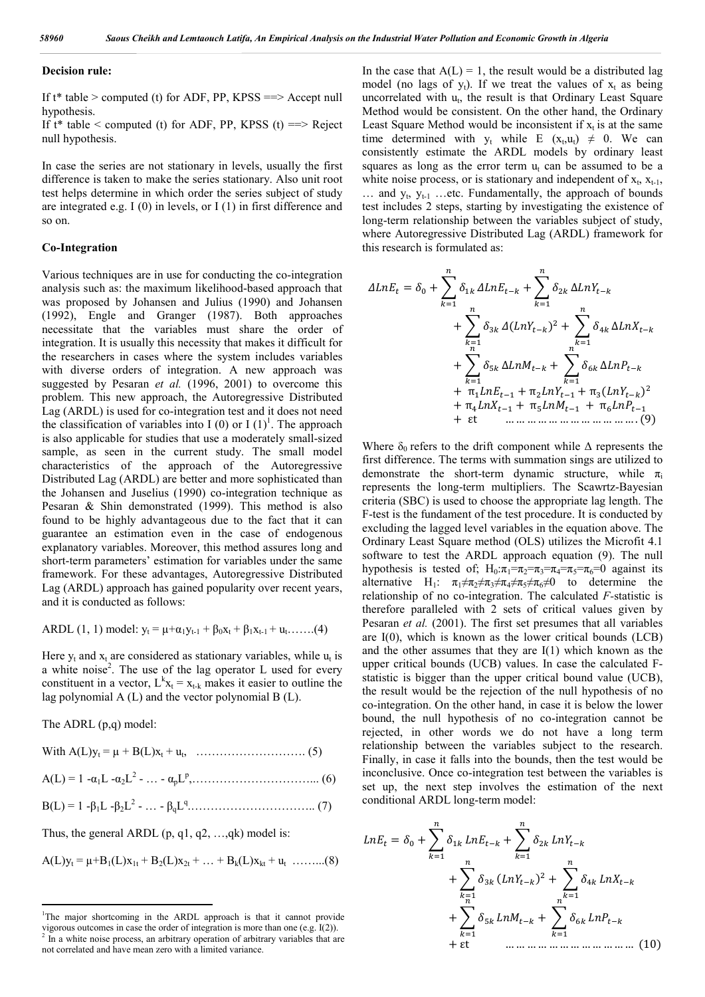#### **Decision rule:**

If  $t^*$  table > computed (t) for ADF, PP, KPSS =  $\geq$  Accept null hypothesis.

If  $t^*$  table < computed (t) for ADF, PP, KPSS (t) =  $\geq$  Reject null hypothesis.

In case the series are not stationary in levels, usually the first difference is taken to make the series stationary. Also unit root test helps determine in which order the series subject of study are integrated e.g. I (0) in levels, or I (1) in first difference and so on.

### **Co-Integration**

Various techniques are in use for conducting the co-integration analysis such as: the maximum likelihood-based approach that was proposed by Johansen and Julius (1990) and Johansen (1992), Engle and Granger (1987). Both approaches necessitate that the variables must share the order of integration. It is usually this necessity that makes it difficult for the researchers in cases where the system includes variables with diverse orders of integration. A new approach was suggested by Pesaran *et al.* (1996, 2001) to overcome this problem. This new approach, the Autoregressive Distributed Lag (ARDL) is used for co-integration test and it does not need the classification of variables into I (0) or I  $(1)^1$ . The approach is also applicable for studies that use a moderately small-sized sample, as seen in the current study. The small model characteristics of the approach of the Autoregressive Distributed Lag (ARDL) are better and more sophisticated than the Johansen and Juselius (1990) co-integration technique as Pesaran & Shin demonstrated (1999). This method is also found to be highly advantageous due to the fact that it can guarantee an estimation even in the case of endogenous explanatory variables. Moreover, this method assures long and short-term parameters' estimation for variables under the same framework. For these advantages, Autoregressive Distributed Lag (ARDL) approach has gained popularity over recent years, and it is conducted as follows:

ARDL (1, 1) model: 
$$
y_t = \mu + \alpha_1 y_{t-1} + \beta_0 x_t + \beta_1 x_{t-1} + u_t
$$
........(4)

Here  $y_t$  and  $x_t$  are considered as stationary variables, while  $u_t$  is a white noise<sup>2</sup>. The use of the lag operator L used for every constituent in a vector,  $L^k x_t = x_{t-k}$  makes it easier to outline the lag polynomial  $A(L)$  and the vector polynomial  $B(L)$ .

The ADRL (p,q) model:

Thus, the general ARDL  $(p, q1, q2, \ldots, qk)$  model is:

 $A(L)y_t = \mu + B_1(L)x_{1t} + B_2(L)x_{2t} + ... + B_k(L)x_{kt} + u_t$  ………(8)

In the case that  $A(L) = 1$ , the result would be a distributed lag model (no lags of  $y_t$ ). If we treat the values of  $x_t$  as being uncorrelated with  $u_t$ , the result is that Ordinary Least Square Method would be consistent. On the other hand, the Ordinary Least Square Method would be inconsistent if  $x_t$  is at the same time determined with  $y_t$  while E  $(x_t, u_t) \neq 0$ . We can consistently estimate the ARDL models by ordinary least squares as long as the error term  $u_t$  can be assumed to be a white noise process, or is stationary and independent of  $x_t$ ,  $x_{t-1}$ ,  $\ldots$  and  $y_t$ ,  $y_{t-1}$  ... etc. Fundamentally, the approach of bounds test includes 2 steps, starting by investigating the existence of long-term relationship between the variables subject of study, where Autoregressive Distributed Lag (ARDL) framework for this research is formulated as:

 = + + Δ + () + Δ + Δ + Δ + π + π + π() + π + π + π + εt … … … … … … … … … … … … . (9)

Where  $\delta_0$  refers to the drift component while  $\Delta$  represents the first difference. The terms with summation sings are utilized to demonstrate the short-term dynamic structure, while  $\pi_i$ represents the long-term multipliers. The Scawrtz-Bayesian criteria (SBC) is used to choose the appropriate lag length. The F-test is the fundament of the test procedure. It is conducted by excluding the lagged level variables in the equation above. The Ordinary Least Square method (OLS) utilizes the Microfit 4.1 software to test the ARDL approach equation (9). The null hypothesis is tested of;  $H_0: \pi_1 = \pi_2 = \pi_3 = \pi_4 = \pi_5 = \pi_6 = 0$  against its alternative H<sub>1</sub>:  $\pi_1 \neq \pi_2 \neq \pi_3 \neq \pi_4 \neq \pi_5 \neq \pi_6 \neq 0$  to determine the relationship of no co-integration. The calculated *F-*statistic is therefore paralleled with 2 sets of critical values given by Pesaran *et al.* (2001). The first set presumes that all variables are  $I(0)$ , which is known as the lower critical bounds (LCB) and the other assumes that they are I(1) which known as the upper critical bounds (UCB) values. In case the calculated Fstatistic is bigger than the upper critical bound value (UCB), the result would be the rejection of the null hypothesis of no co-integration. On the other hand, in case it is below the lower bound, the null hypothesis of no co-integration cannot be rejected, in other words we do not have a long term relationship between the variables subject to the research. Finally, in case it falls into the bounds, then the test would be inconclusive. Once co-integration test between the variables is set up, the next step involves the estimation of the next conditional ARDL long-term model:

$$
LnE_{t} = \delta_{0} + \sum_{k=1}^{n} \delta_{1k} LnE_{t-k} + \sum_{k=1}^{n} \delta_{2k} LnY_{t-k} + \sum_{k=1}^{n} \delta_{3k} (LnY_{t-k})^{2} + \sum_{k=1}^{n} \delta_{4k} LnX_{t-k} + \sum_{k=1}^{n} \delta_{5k} LnM_{t-k} + \sum_{k=1}^{n} \delta_{6k} LnP_{t-k} + \text{et} \qquad \dots \dots \dots \dots \dots \dots \dots \dots \dots \dots \dots \dots \dots \dots \dots \dots \tag{10}
$$

 $\frac{1}{1}$ <sup>1</sup>The major shortcoming in the ARDL approach is that it cannot provide vigorous outcomes in case the order of integration is more than one (e.g. I(2)).

<sup>2</sup> In a white noise process, an arbitrary operation of arbitrary variables that are not correlated and have mean zero with a limited variance.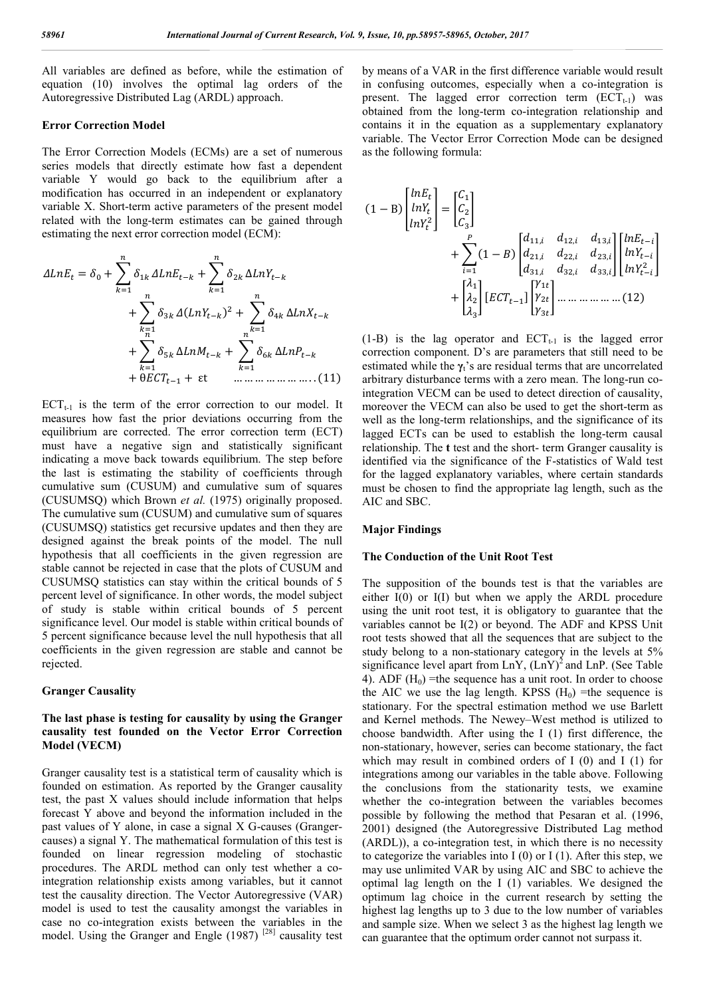All variables are defined as before, while the estimation of equation (10) involves the optimal lag orders of the Autoregressive Distributed Lag (ARDL) approach.

#### **Error Correction Model**

The Error Correction Models (ECMs) are a set of numerous series models that directly estimate how fast a dependent variable Y would go back to the equilibrium after a modification has occurred in an independent or explanatory variable X. Short-term active parameters of the present model related with the long-term estimates can be gained through estimating the next error correction model (ECM):

$$
\Delta LnE_{t} = \delta_{0} + \sum_{k=1}^{n} \delta_{1k} \Delta LnE_{t-k} + \sum_{k=1}^{n} \delta_{2k} \Delta LnY_{t-k} + \sum_{k=1}^{n} \delta_{3k} \Delta (LnY_{t-k})^{2} + \sum_{k=1}^{n} \delta_{4k} \Delta LnX_{t-k} + \sum_{k=1}^{n} \delta_{5k} \Delta LnM_{t-k} + \sum_{k=1}^{n} \delta_{6k} \Delta LnP_{t-k} + \theta ECT_{t-1} + \text{ et } \dots \dots \dots \dots \dots \dots \dots \dots \dots (11)
$$

 $ECT_{t-1}$  is the term of the error correction to our model. It measures how fast the prior deviations occurring from the equilibrium are corrected. The error correction term (ECT) must have a negative sign and statistically significant indicating a move back towards equilibrium. The step before the last is estimating the stability of coefficients through cumulative sum (CUSUM) and cumulative sum of squares (CUSUMSQ) which Brown *et al.* (1975) originally proposed. The cumulative sum (CUSUM) and cumulative sum of squares (CUSUMSQ) statistics get recursive updates and then they are designed against the break points of the model. The null hypothesis that all coefficients in the given regression are stable cannot be rejected in case that the plots of CUSUM and CUSUMSQ statistics can stay within the critical bounds of 5 percent level of significance. In other words, the model subject of study is stable within critical bounds of 5 percent significance level. Our model is stable within critical bounds of 5 percent significance because level the null hypothesis that all coefficients in the given regression are stable and cannot be rejected.

#### **Granger Causality**

## **The last phase is testing for causality by using the Granger causality test founded on the Vector Error Correction Model (VECM)**

Granger causality test is a statistical term of causality which is founded on estimation. As reported by the Granger causality test, the past X values should include information that helps forecast Y above and beyond the information included in the past values of Y alone, in case a signal X G-causes (Grangercauses) a signal Y. The mathematical formulation of this test is founded on linear regression modeling of stochastic procedures. The ARDL method can only test whether a cointegration relationship exists among variables, but it cannot test the causality direction. The Vector Autoregressive (VAR) model is used to test the causality amongst the variables in case no co-integration exists between the variables in the model. Using the Granger and Engle (1987)<sup>[28]</sup> causality test by means of a VAR in the first difference variable would result in confusing outcomes, especially when a co-integration is present. The lagged error correction term  $(ECT<sub>t-1</sub>)$  was obtained from the long-term co-integration relationship and contains it in the equation as a supplementary explanatory variable. The Vector Error Correction Mode can be designed as the following formula:

$$
(1-B)\begin{bmatrix} lnE_t \\ lnY_t^2 \\ lnY_t^2 \end{bmatrix} = \begin{bmatrix} C_1 \\ C_2 \\ C_3 \end{bmatrix}
$$
  
+ 
$$
\sum_{i=1}^P (1-B) \begin{bmatrix} d_{11,i} & d_{12,i} & d_{13,i} \\ d_{21,i} & d_{22,i} & d_{23,i} \\ d_{31,i} & d_{32,i} & d_{33,i} \end{bmatrix} \begin{bmatrix} lnE_{t-i} \\ lnY_{t-i} \\ lnY_{t-i}^2 \\ lnY_{t-i}^2 \end{bmatrix}
$$
  
+ 
$$
\begin{bmatrix} \lambda_1 \\ \lambda_2 \\ \lambda_3 \end{bmatrix} \begin{bmatrix} ECT_{t-1} \end{bmatrix} \begin{bmatrix} Y_{1t} \\ Y_{2t} \\ Y_{3t} \end{bmatrix} \dots \dots \dots \dots \dots \dots \dots \tag{12}
$$

(1-B) is the lag operator and  $ECT_{t-1}$  is the lagged error correction component. D's are parameters that still need to be estimated while the  $\gamma_i$ 's are residual terms that are uncorrelated arbitrary disturbance terms with a zero mean. The long-run cointegration VECM can be used to detect direction of causality, moreover the VECM can also be used to get the short-term as well as the long-term relationships, and the significance of its lagged ECTs can be used to establish the long-term causal relationship. The **t** test and the short- term Granger causality is identified via the significance of the F-statistics of Wald test for the lagged explanatory variables, where certain standards must be chosen to find the appropriate lag length, such as the AIC and SBC.

## **Major Findings**

#### **The Conduction of the Unit Root Test**

The supposition of the bounds test is that the variables are either I(0) or I(I) but when we apply the ARDL procedure using the unit root test, it is obligatory to guarantee that the variables cannot be I(2) or beyond. The ADF and KPSS Unit root tests showed that all the sequences that are subject to the study belong to a non-stationary category in the levels at 5% significance level apart from  $\text{LnY}$ ,  $(\text{LnY})^2$  and  $\text{LnP}$ . (See Table 4). ADF  $(H_0)$  =the sequence has a unit root. In order to choose the AIC we use the lag length. KPSS  $(H_0)$  =the sequence is stationary. For the spectral estimation method we use Barlett and Kernel methods. The Newey–West method is utilized to choose bandwidth. After using the I (1) first difference, the non-stationary, however, series can become stationary, the fact which may result in combined orders of I (0) and I (1) for integrations among our variables in the table above. Following the conclusions from the stationarity tests, we examine whether the co-integration between the variables becomes possible by following the method that Pesaran et al. (1996, 2001) designed (the Autoregressive Distributed Lag method (ARDL)), a co-integration test, in which there is no necessity to categorize the variables into I  $(0)$  or I  $(1)$ . After this step, we may use unlimited VAR by using AIC and SBC to achieve the optimal lag length on the I (1) variables. We designed the optimum lag choice in the current research by setting the highest lag lengths up to 3 due to the low number of variables and sample size. When we select 3 as the highest lag length we can guarantee that the optimum order cannot not surpass it.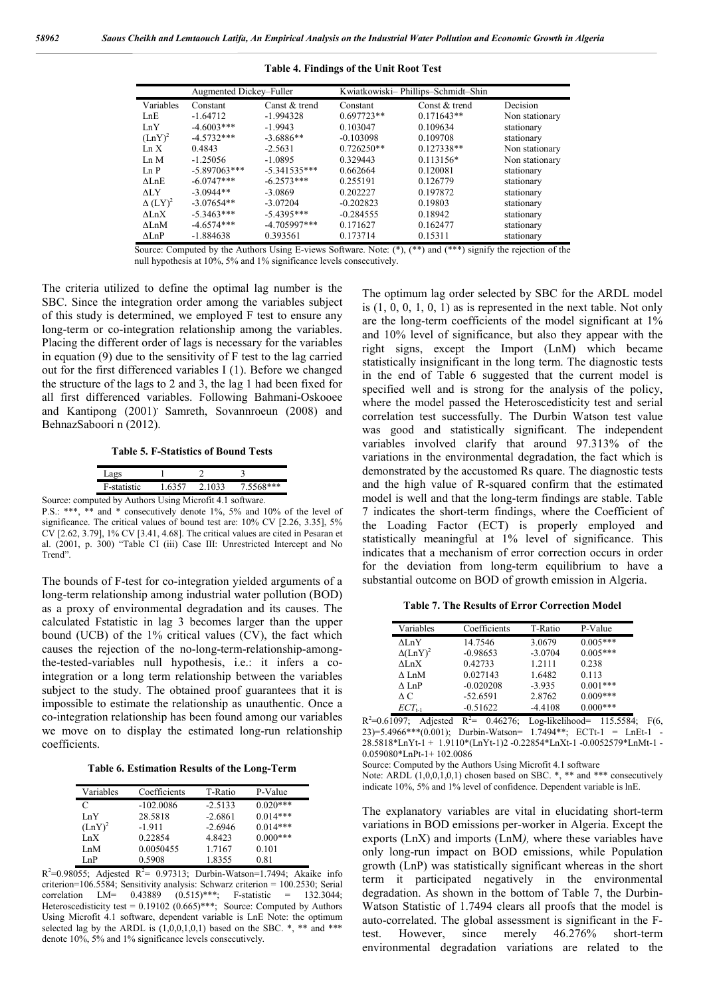|                            | Augmented Dickey–Fuller |                 |              | Kwiatkowiski-Phillips-Schmidt-Shin |                |  |
|----------------------------|-------------------------|-----------------|--------------|------------------------------------|----------------|--|
| Variables                  | Constant                | Canst $&$ trend | Constant     | Const & trend                      | Decision       |  |
| LnE                        | $-1.64712$              | $-1.994328$     | $0.697723**$ | $0.171643**$                       | Non stationary |  |
| LnY                        | $-4.6003***$            | $-1.9943$       | 0.103047     | 0.109634                           | stationary     |  |
| $(LnY)^2$                  | $-4.5732***$            | $-3.6886**$     | $-0.103098$  | 0.109708                           | stationary     |  |
| In X                       | 0.4843                  | $-2.5631$       | $0.726250**$ | $0.127338**$                       | Non stationary |  |
| Ln M                       | $-1.25056$              | $-1.0895$       | 0.329443     | $0.113156*$                        | Non stationary |  |
| In P                       | $-5.897063***$          | $-5.341535***$  | 0.662664     | 0.120081                           | stationary     |  |
| $\Lambda$ I nE             | $-6.0747***$            | $-6.2573***$    | 0.255191     | 0.126779                           | stationary     |  |
| ALY                        | $-3.0944**$             | $-3.0869$       | 0.202227     | 0.197872                           | stationary     |  |
| $\Delta$ (LY) <sup>2</sup> | $-3.07654**$            | $-3.07204$      | $-0.202823$  | 0.19803                            | stationary     |  |
| $\Lambda$ I n $X$          | $-5.3463***$            | $-5.4395***$    | $-0.284555$  | 0.18942                            | stationary     |  |
| $\Lambda$ I n $M$          | $-4.6574***$            | $-4.705997***$  | 0.171627     | 0.162477                           | stationary     |  |
| $\Delta$ LnP               | $-1.884638$             | 0.393561        | 0.173714     | 0.15311                            | stationary     |  |

**Table 4. Findings of the Unit Root Test**

Source: Computed by the Authors Using E-views Software. Note: (\*), (\*\*) and (\*\*\*) signify the rejection of the null hypothesis at 10%, 5% and 1% significance levels consecutively.

The criteria utilized to define the optimal lag number is the SBC. Since the integration order among the variables subject of this study is determined, we employed F test to ensure any long-term or co-integration relationship among the variables. Placing the different order of lags is necessary for the variables in equation (9) due to the sensitivity of F test to the lag carried out for the first differenced variables I (1). Before we changed the structure of the lags to 2 and 3, the lag 1 had been fixed for all first differenced variables. Following Bahmani-Oskooee and Kantipong (2001) Samreth, Sovannroeun (2008) and BehnazSaboori n (2012).

**Table 5. F-Statistics of Bound Tests**

|                                                          | Lags        |        |        |           |
|----------------------------------------------------------|-------------|--------|--------|-----------|
|                                                          | F-statistic | 1.6357 | 2.1033 | 7.5568*** |
| Source: computed by Authors Using Microfit 4.1 software. |             |        |        |           |

P.S.: \*\*\*, \*\* and \* consecutively denote 1%, 5% and 10% of the level of significance. The critical values of bound test are: 10% CV [2.26, 3.35], 5% CV [2.62, 3.79], 1% CV [3.41, 4.68]. The critical values are cited in Pesaran et al. (2001, p. 300) "Table CI (iii) Case III: Unrestricted Intercept and No Trend".

The bounds of F-test for co-integration yielded arguments of a long-term relationship among industrial water pollution (BOD) as a proxy of environmental degradation and its causes. The calculated Fstatistic in lag 3 becomes larger than the upper bound (UCB) of the 1% critical values (CV), the fact which causes the rejection of the no-long-term-relationship-amongthe-tested-variables null hypothesis, i.e.: it infers a cointegration or a long term relationship between the variables subject to the study. The obtained proof guarantees that it is impossible to estimate the relationship as unauthentic. Once a co-integration relationship has been found among our variables we move on to display the estimated long-run relationship coefficients.

**Table 6. Estimation Results of the Long-Term**

| Variables | Coefficients | T-Ratio   | P-Value    |
|-----------|--------------|-----------|------------|
| C         | $-102.0086$  | $-2.5133$ | $0.020***$ |
| LnY       | 28.5818      | $-2.6861$ | $0.014***$ |
| $(LnY)^2$ | $-1.911$     | $-2.6946$ | $0.014***$ |
| LnX       | 0.22854      | 4.8423    | $0.000***$ |
| I nM      | 0.0050455    | 1.7167    | 0.101      |
| I nP      | 0.5908       | 1.8355    | 0.81       |

 $R^2=0.98055$ ; Adjested  $R^2= 0.97313$ ; Durbin-Watson=1.7494; Akaike info criterion=106.5584; Sensitivity analysis: Schwarz criterion = 100.2530; Serial correlation LM= 0.43889 (0.515)\*\*\*; F-statistic = 132.3044; Heteroscedisticity test =  $0.19102$  (0.665)\*\*\*; Source: Computed by Authors Using Microfit 4.1 software, dependent variable is LnE Note: the optimum selected lag by the ARDL is  $(1,0,0,1,0,1)$  based on the SBC.  $*$ ,  $**$  and  $***$ denote 10%, 5% and 1% significance levels consecutively.

The optimum lag order selected by SBC for the ARDL model is  $(1, 0, 0, 1, 0, 1)$  as is represented in the next table. Not only are the long-term coefficients of the model significant at 1% and 10% level of significance, but also they appear with the right signs, except the Import (LnM) which became statistically insignificant in the long term. The diagnostic tests in the end of Table 6 suggested that the current model is specified well and is strong for the analysis of the policy, where the model passed the Heteroscedisticity test and serial correlation test successfully. The Durbin Watson test value was good and statistically significant. The independent variables involved clarify that around 97.313% of the variations in the environmental degradation, the fact which is demonstrated by the accustomed Rs quare. The diagnostic tests and the high value of R-squared confirm that the estimated model is well and that the long-term findings are stable. Table 7 indicates the short-term findings, where the Coefficient of the Loading Factor (ECT) is properly employed and statistically meaningful at 1% level of significance. This indicates that a mechanism of error correction occurs in order for the deviation from long-term equilibrium to have a substantial outcome on BOD of growth emission in Algeria.

**Table 7. The Results of Error Correction Model**

| Variables             | Coefficients | T-Ratio   | P-Value    |
|-----------------------|--------------|-----------|------------|
| $\Lambda$ I n $\rm Y$ | 14.7546      | 3.0679    | $0.005***$ |
| $\Delta(LnY)^2$       | $-0.98653$   | $-3.0704$ | $0.005***$ |
| $\Lambda$ I n $X$     | 0.42733      | 1.2111    | 0.238      |
| A LnM                 | 0.027143     | 1.6482    | 0.113      |
| $\wedge$ LnP          | $-0.020208$  | $-3.935$  | $0.001***$ |
| A C                   | $-52.6591$   | 2.8762    | $0.009***$ |
| $ECT_{t-1}$           | $-0.51622$   | $-4.4108$ | $0.000***$ |

 $R^2=0.61097$ ; Adjested  $R^2= 0.46276$ ; Log-likelihood= 115.5584; F(6, 23)=5.4966\*\*\*(0.001); Durbin-Watson=  $1.7494**$ ; ECTt-1 = LnEt-1 28.5818\*LnYt-1 + 1.9110\*(LnYt-1)2 -0.22854\*LnXt-1 -0.0052579\*LnMt-1 - 0.059080\*LnPt-1+ 102.0086

Source: Computed by the Authors Using Microfit 4.1 software

Note: ARDL  $(1,0,0,1,0,1)$  chosen based on SBC. \*, \*\* and \*\*\* consecutively indicate 10%, 5% and 1% level of confidence. Dependent variable is lnE.

The explanatory variables are vital in elucidating short-term variations in BOD emissions per-worker in Algeria. Except the exports (LnX) and imports (LnM*),* where these variables have only long-run impact on BOD emissions, while Population growth (LnP) was statistically significant whereas in the short term it participated negatively in the environmental degradation. As shown in the bottom of Table 7, the Durbin-Watson Statistic of 1.7494 clears all proofs that the model is auto-correlated. The global assessment is significant in the Ftest. However, since merely 46.276% short-term environmental degradation variations are related to the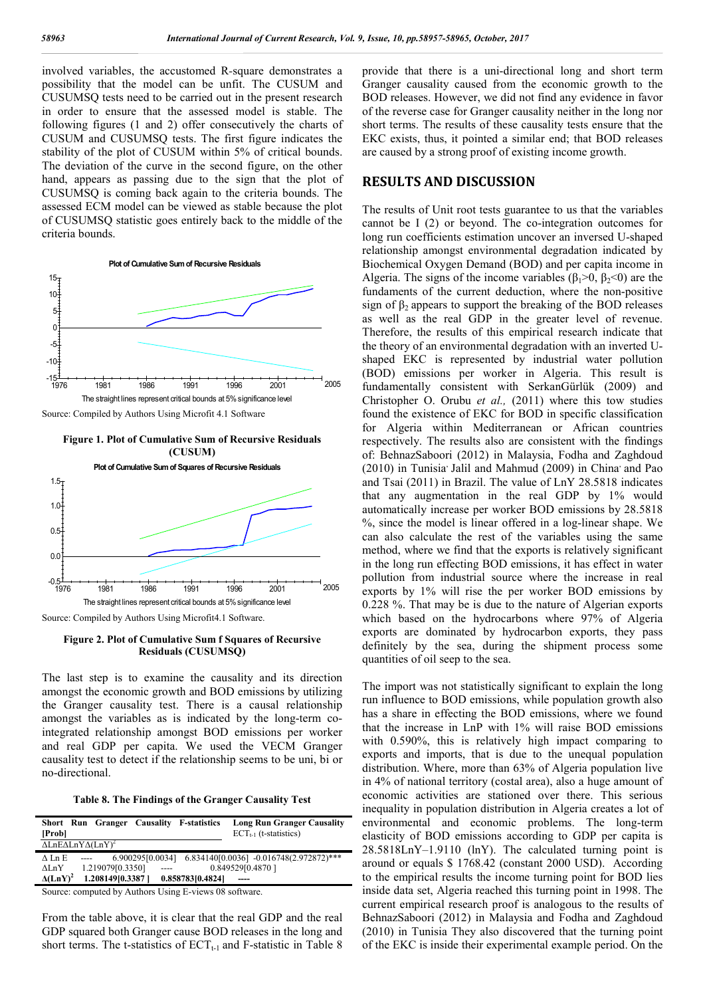involved variables, the accustomed R*-*square demonstrates a possibility that the model can be unfit. The CUSUM and CUSUMSQ tests need to be carried out in the present research in order to ensure that the assessed model is stable. The following figures (1 and 2) offer consecutively the charts of CUSUM and CUSUMSQ tests. The first figure indicates the stability of the plot of CUSUM within 5% of critical bounds. The deviation of the curve in the second figure, on the other hand, appears as passing due to the sign that the plot of CUSUMSQ is coming back again to the criteria bounds. The assessed ECM model can be viewed as stable because the plot of CUSUMSQ statistic goes entirely back to the middle of the criteria bounds.



Source: Compiled by Authors Using Microfit 4.1 Software

#### **Figure 1. Plot of Cumulative Sum of Recursive Residuals (CUSUM)**



Source: Compiled by Authors Using Microfit4.1 Software.

**Figure 2. Plot of Cumulative Sum f Squares of Recursive Residuals (CUSUMSQ)**

The last step is to examine the causality and its direction amongst the economic growth and BOD emissions by utilizing the Granger causality test. There is a causal relationship amongst the variables as is indicated by the long-term cointegrated relationship amongst BOD emissions per worker and real GDP per capita. We used the VECM Granger causality test to detect if the relationship seems to be uni, bi or no-directional.

**Table 8. The Findings of the Granger Causality Test**

| [Prob]                                                |       |                  |      | Short Run Granger Causality F-statistics | <b>Long Run Granger Causality</b><br>$ECT_{t-1}$ (t-statistics) |
|-------------------------------------------------------|-------|------------------|------|------------------------------------------|-----------------------------------------------------------------|
| $\Delta$ LnE $\Delta$ LnY $\Delta$ (LnY) <sup>2</sup> |       |                  |      |                                          |                                                                 |
| $\Lambda$ I.n E                                       | $---$ |                  |      |                                          | 6.900295[0.0034] 6.834140[0.0036] -0.016748(2.972872)***        |
| $\Lambda$ Ln $\rm Y$                                  |       | 1.219079[0.3350] | ---- |                                          | 0.849529[0.4870]                                                |
| $\Delta(LnY)^2$                                       |       | 1.208149[0.3387] |      | 0.858783[0.4824]                         |                                                                 |
|                                                       |       |                  |      |                                          |                                                                 |

Source: computed by Authors Using E-views 08 software.

From the table above, it is clear that the real GDP and the real GDP squared both Granger cause BOD releases in the long and short terms. The t-statistics of  $ECT_{t-1}$  and F-statistic in Table 8 provide that there is a uni-directional long and short term Granger causality caused from the economic growth to the BOD releases. However, we did not find any evidence in favor of the reverse case for Granger causality neither in the long nor short terms. The results of these causality tests ensure that the EKC exists, thus, it pointed a similar end; that BOD releases are caused by a strong proof of existing income growth.

## **RESULTS AND DISCUSSION**

The results of Unit root tests guarantee to us that the variables cannot be I (2) or beyond. The co-integration outcomes for long run coefficients estimation uncover an inversed U-shaped relationship amongst environmental degradation indicated by Biochemical Oxygen Demand (BOD) and per capita income in Algeria. The signs of the income variables ( $\beta_1$ >0,  $\beta_2$ <0) are the fundaments of the current deduction, where the non-positive sign of  $\beta_2$  appears to support the breaking of the BOD releases as well as the real GDP in the greater level of revenue. Therefore, the results of this empirical research indicate that the theory of an environmental degradation with an inverted Ushaped EKC is represented by industrial water pollution (BOD) emissions per worker in Algeria. This result is fundamentally consistent with SerkanGürlük (2009) and Christopher O. Orubu *et al.,* (2011) where this tow studies found the existence of EKC for BOD in specific classification for Algeria within Mediterranean or African countries respectively. The results also are consistent with the findings of: BehnazSaboori (2012) in Malaysia, Fodha and Zaghdoud  $(2010)$  in Tunisia<sup>,</sup> Jalil and Mahmud  $(2009)$  in China, and Pao and Tsai (2011) in Brazil. The value of LnY 28.5818 indicates that any augmentation in the real GDP by 1% would automatically increase per worker BOD emissions by 28.5818 %, since the model is linear offered in a log-linear shape. We can also calculate the rest of the variables using the same method, where we find that the exports is relatively significant in the long run effecting BOD emissions, it has effect in water pollution from industrial source where the increase in real exports by 1% will rise the per worker BOD emissions by 0.228 %. That may be is due to the nature of Algerian exports which based on the hydrocarbons where 97% of Algeria exports are dominated by hydrocarbon exports, they pass definitely by the sea, during the shipment process some quantities of oil seep to the sea.

The import was not statistically significant to explain the long run influence to BOD emissions, while population growth also has a share in effecting the BOD emissions, where we found that the increase in LnP with 1% will raise BOD emissions with 0.590%, this is relatively high impact comparing to exports and imports, that is due to the unequal population distribution. Where, more than 63% of Algeria population live in 4% of national territory (costal area), also a huge amount of economic activities are stationed over there. This serious inequality in population distribution in Algeria creates a lot of environmental and economic problems. The long-term elasticity of BOD emissions according to GDP per capita is 28.5818LnY–1.9110 (lnY). The calculated turning point is around or equals \$ 1768.42 (constant 2000 USD). According to the empirical results the income turning point for BOD lies inside data set, Algeria reached this turning point in 1998. The current empirical research proof is analogous to the results of BehnazSaboori (2012) in Malaysia and Fodha and Zaghdoud (2010) in Tunisia They also discovered that the turning point of the EKC is inside their experimental example period. On the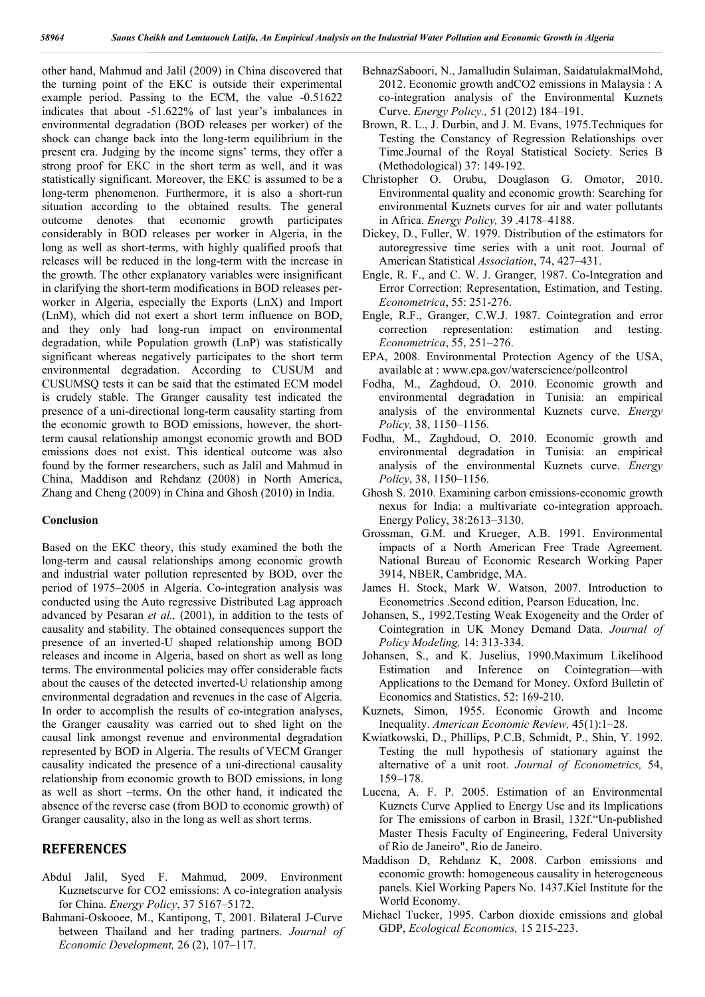other hand, Mahmud and Jalil (2009) in China discovered that the turning point of the EKC is outside their experimental example period. Passing to the ECM, the value -0.51622 indicates that about -51.622% of last year's imbalances in environmental degradation (BOD releases per worker) of the shock can change back into the long-term equilibrium in the present era. Judging by the income signs' terms, they offer a strong proof for EKC in the short term as well, and it was statistically significant. Moreover, the EKC is assumed to be a long-term phenomenon. Furthermore, it is also a short-run situation according to the obtained results. The general outcome denotes that economic growth participates considerably in BOD releases per worker in Algeria, in the long as well as short-terms, with highly qualified proofs that releases will be reduced in the long-term with the increase in the growth. The other explanatory variables were insignificant in clarifying the short-term modifications in BOD releases perworker in Algeria, especially the Exports (LnX) and Import (LnM), which did not exert a short term influence on BOD, and they only had long-run impact on environmental degradation, while Population growth (LnP) was statistically significant whereas negatively participates to the short term environmental degradation. According to CUSUM and CUSUMSQ tests it can be said that the estimated ECM model is crudely stable. The Granger causality test indicated the presence of a uni-directional long-term causality starting from the economic growth to BOD emissions, however, the shortterm causal relationship amongst economic growth and BOD emissions does not exist. This identical outcome was also found by the former researchers, such as Jalil and Mahmud in China, Maddison and Rehdanz (2008) in North America, Zhang and Cheng (2009) in China and Ghosh (2010) in India.

#### **Conclusion**

Based on the EKC theory, this study examined the both the long-term and causal relationships among economic growth and industrial water pollution represented by BOD, over the period of 1975–2005 in Algeria. Co-integration analysis was conducted using the Auto regressive Distributed Lag approach advanced by Pesaran *et al.,* (2001), in addition to the tests of causality and stability. The obtained consequences support the presence of an inverted-U shaped relationship among BOD releases and income in Algeria, based on short as well as long terms. The environmental policies may offer considerable facts about the causes of the detected inverted-U relationship among environmental degradation and revenues in the case of Algeria. In order to accomplish the results of co-integration analyses, the Granger causality was carried out to shed light on the causal link amongst revenue and environmental degradation represented by BOD in Algeria. The results of VECM Granger causality indicated the presence of a uni-directional causality relationship from economic growth to BOD emissions, in long as well as short –terms. On the other hand, it indicated the absence of the reverse case (from BOD to economic growth) of Granger causality, also in the long as well as short terms.

## **REFERENCES**

- Abdul Jalil, Syed F. Mahmud, 2009. Environment Kuznetscurve for CO2 emissions: A co-integration analysis for China. *Energy Policy*, 37 5167–5172.
- Bahmani-Oskooee, M., Kantipong, T, 2001. Bilateral J-Curve between Thailand and her trading partners. *Journal of Economic Development,* 26 (2), 107–117.
- BehnazSaboori, N., Jamalludin Sulaiman, SaidatulakmalMohd, 2012. Economic growth andCO2 emissions in Malaysia : A co-integration analysis of the Environmental Kuznets Curve. *Energy Policy.,* 51 (2012) 184–191.
- Brown, R. L., J. Durbin, and J. M. Evans, 1975.Techniques for Testing the Constancy of Regression Relationships over Time.Journal of the Royal Statistical Society. Series B (Methodological) 37: 149-192.
- Christopher O. Orubu, Douglason G. Omotor, 2010. Environmental quality and economic growth: Searching for environmental Kuznets curves for air and water pollutants in Africa. *Energy Policy,* 39 .4178–4188.
- Dickey, D., Fuller, W. 1979. Distribution of the estimators for autoregressive time series with a unit root. Journal of American Statistical *Association*, 74, 427–431.
- Engle, R. F., and C. W. J. Granger, 1987. Co-Integration and Error Correction: Representation, Estimation, and Testing. *Econometrica*, 55: 251-276.
- Engle, R.F., Granger, C.W.J. 1987. Cointegration and error correction representation: estimation and testing. *Econometrica*, 55, 251–276.
- EPA, 2008. Environmental Protection Agency of the USA, available at : www.epa.gov/waterscience/pollcontrol
- Fodha, M., Zaghdoud, O. 2010. Economic growth and environmental degradation in Tunisia: an empirical analysis of the environmental Kuznets curve. *Energy Policy,* 38, 1150–1156.
- Fodha, M., Zaghdoud, O. 2010. Economic growth and environmental degradation in Tunisia: an empirical analysis of the environmental Kuznets curve. *Energy Policy*, 38, 1150–1156.
- Ghosh S. 2010. Examining carbon emissions-economic growth nexus for India: a multivariate co-integration approach. Energy Policy, 38:2613–3130.
- Grossman, G.M. and Krueger, A.B. 1991. Environmental impacts of a North American Free Trade Agreement. National Bureau of Economic Research Working Paper 3914, NBER, Cambridge, MA.
- James H. Stock, Mark W. Watson, 2007. Introduction to Econometrics .Second edition, Pearson Education, Inc.
- Johansen, S., 1992.Testing Weak Exogeneity and the Order of Cointegration in UK Money Demand Data. *Journal of Policy Modeling,* 14: 313-334.
- Johansen, S., and K. Juselius, 1990.Maximum Likelihood Estimation and Inference on Cointegration—with Applications to the Demand for Money. Oxford Bulletin of Economics and Statistics, 52: 169-210.
- Kuznets, Simon, 1955. Economic Growth and Income Inequality. *American Economic Review,* 45(1):1–28.
- Kwiatkowski, D., Phillips, P.C.B, Schmidt, P., Shin, Y. 1992. Testing the null hypothesis of stationary against the alternative of a unit root. *Journal of Econometrics,* 54, 159–178.
- Lucena, A. F. P. 2005. Estimation of an Environmental Kuznets Curve Applied to Energy Use and its Implications for The emissions of carbon in Brasil, 132f."Un-published Master Thesis Faculty of Engineering, Federal University of Rio de Janeiro", Rio de Janeiro.
- Maddison D, Rehdanz K, 2008. Carbon emissions and economic growth: homogeneous causality in heterogeneous panels. Kiel Working Papers No. 1437.Kiel Institute for the World Economy.
- Michael Tucker, 1995. Carbon dioxide emissions and global GDP, *Ecological Economics,* 15 215-223.